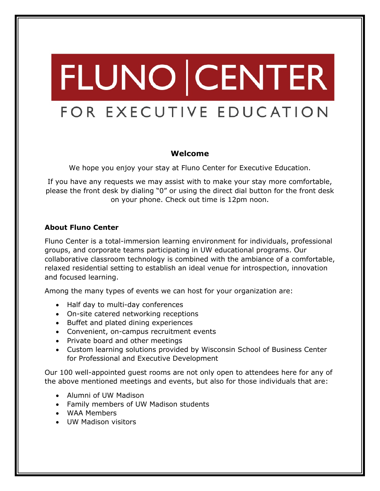# FLUNO CENTER FOR EXECUTIVE EDUCATION

# **Welcome**

We hope you enjoy your stay at Fluno Center for Executive Education.

If you have any requests we may assist with to make your stay more comfortable, please the front desk by dialing "0" or using the direct dial button for the front desk on your phone. Check out time is 12pm noon.

# **About Fluno Center**

Fluno Center is a total-immersion learning environment for individuals, professional groups, and corporate teams participating in UW educational programs. Our collaborative classroom technology is combined with the ambiance of a comfortable, relaxed residential setting to establish an ideal venue for introspection, innovation and focused learning.

Among the many types of events we can host for your organization are:

- Half day to multi-day conferences
- On-site catered networking receptions
- Buffet and plated dining experiences
- Convenient, on-campus recruitment events
- Private board and other meetings
- Custom learning solutions provided by Wisconsin School of Business Center for Professional and Executive Development

Our 100 well-appointed guest rooms are not only open to attendees here for any of the above mentioned meetings and events, but also for those individuals that are:

- Alumni of UW Madison
- Family members of UW Madison students
- WAA Members
- UW Madison visitors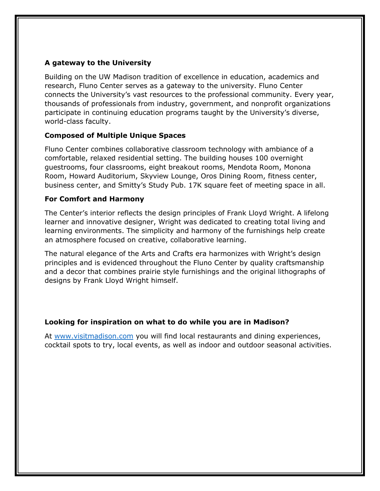## **A gateway to the University**

Building on the UW Madison tradition of excellence in education, academics and research, Fluno Center serves as a gateway to the university. Fluno Center connects the University's vast resources to the professional community. Every year, thousands of professionals from industry, government, and nonprofit organizations participate in continuing education programs taught by the University's diverse, world-class faculty.

### **Composed of Multiple Unique Spaces**

Fluno Center combines collaborative classroom technology with ambiance of a comfortable, relaxed residential setting. The building houses 100 overnight guestrooms, four classrooms, eight breakout rooms, Mendota Room, Monona Room, Howard Auditorium, Skyview Lounge, Oros Dining Room, fitness center, business center, and Smitty's Study Pub. 17K square feet of meeting space in all.

#### **For Comfort and Harmony**

The Center's interior reflects the design principles of Frank Lloyd Wright. A lifelong learner and innovative designer, Wright was dedicated to creating total living and learning environments. The simplicity and harmony of the furnishings help create an atmosphere focused on creative, collaborative learning.

The natural elegance of the Arts and Crafts era harmonizes with Wright's design principles and is evidenced throughout the Fluno Center by quality craftsmanship and a decor that combines prairie style furnishings and the original lithographs of designs by Frank Lloyd Wright himself.

### **Looking for inspiration on what to do while you are in Madison?**

At www.visitmadison.com you will find local restaurants and dining experiences, cocktail spots to try, local events, as well as indoor and outdoor seasonal activities.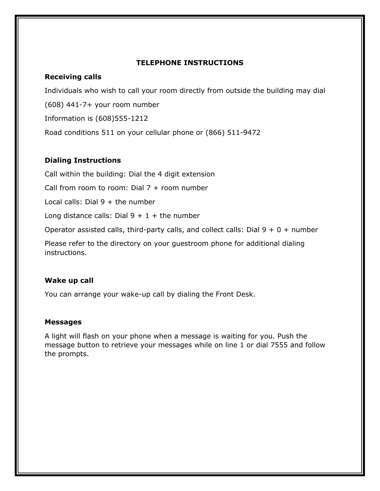#### **TELEPHONE INSTRUCTIONS**

#### **Receiving calls**

Individuals who wish to call your room directly from outside the building may dial

(608) 441-7+ your room number

Information is (608)555-1212

Road conditions 511 on your cellular phone or (866) 511-9472

# **Dialing Instructions**

Call within the building: Dial the 4 digit extension

Call from room to room: Dial  $7 +$  room number

Local calls: Dial  $9 +$  the number

Long distance calls: Dial  $9 + 1 +$  the number

Operator assisted calls, third-party calls, and collect calls: Dial  $9 + 0 +$  number

Please refer to the directory on your guestroom phone for additional dialing instructions.

### **Wake up call**

You can arrange your wake-up call by dialing the Front Desk.

### **Messages**

A light will flash on your phone when a message is waiting for you. Push the message button to retrieve your messages while on line 1 or dial 7555 and follow the prompts.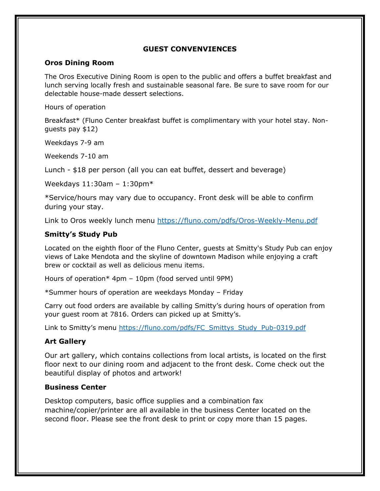#### **GUEST CONVENVIENCES**

#### **Oros Dining Room**

The Oros Executive Dining Room is open to the public and offers a buffet breakfast and lunch serving locally fresh and sustainable seasonal fare. Be sure to save room for our delectable house-made dessert selections.

Hours of operation

Breakfast\* (Fluno Center breakfast buffet is complimentary with your hotel stay. Nonguests pay \$12)

Weekdays 7-9 am

Weekends 7-10 am

Lunch - \$18 per person (all you can eat buffet, dessert and beverage)

Weekdays 11:30am – 1:30pm\*

\*Service/hours may vary due to occupancy. Front desk will be able to confirm during your stay.

Link to Oros weekly lunch menu https://fluno.com/pdfs/Oros-Weekly-Menu.pdf

#### **Smitty's Study Pub**

Located on the eighth floor of the Fluno Center, guests at Smitty's Study Pub can enjoy views of Lake Mendota and the skyline of downtown Madison while enjoying a craft brew or cocktail as well as delicious menu items.

Hours of operation\* 4pm – 10pm (food served until 9PM)

\*Summer hours of operation are weekdays Monday – Friday

Carry out food orders are available by calling Smitty's during hours of operation from your guest room at 7816. Orders can picked up at Smitty's.

Link to Smitty's menu https://fluno.com/pdfs/FC\_Smittys\_Study\_Pub-0319.pdf

### **Art Gallery**

Our art gallery, which contains collections from local artists, is located on the first floor next to our dining room and adjacent to the front desk. Come check out the beautiful display of photos and artwork!

### **Business Center**

Desktop computers, basic office supplies and a combination fax machine/copier/printer are all available in the business Center located on the second floor. Please see the front desk to print or copy more than 15 pages.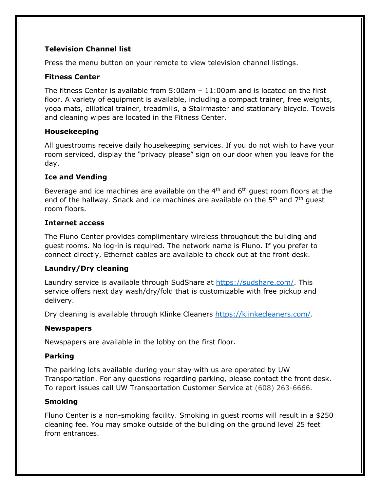## **Television Channel list**

Press the menu button on your remote to view television channel listings.

# **Fitness Center**

The fitness Center is available from 5:00am – 11:00pm and is located on the first floor. A variety of equipment is available, including a compact trainer, free weights, yoga mats, elliptical trainer, treadmills, a Stairmaster and stationary bicycle. Towels and cleaning wipes are located in the Fitness Center.

# **Housekeeping**

All guestrooms receive daily housekeeping services. If you do not wish to have your room serviced, display the "privacy please" sign on our door when you leave for the day.

# **Ice and Vending**

Beverage and ice machines are available on the  $4<sup>th</sup>$  and  $6<sup>th</sup>$  guest room floors at the end of the hallway. Snack and ice machines are available on the  $5<sup>th</sup>$  and  $7<sup>th</sup>$  guest room floors.

### **Internet access**

The Fluno Center provides complimentary wireless throughout the building and guest rooms. No log-in is required. The network name is Fluno. If you prefer to connect directly, Ethernet cables are available to check out at the front desk.

# **Laundry/Dry cleaning**

Laundry service is available through SudShare at https://sudshare.com/. This service offers next day wash/dry/fold that is customizable with free pickup and delivery.

Dry cleaning is available through Klinke Cleaners https://klinkecleaners.com/.

### **Newspapers**

Newspapers are available in the lobby on the first floor.

### **Parking**

The parking lots available during your stay with us are operated by UW Transportation. For any questions regarding parking, please contact the front desk. To report issues call UW Transportation Customer Service at (608) 263-6666.

### **Smoking**

Fluno Center is a non-smoking facility. Smoking in guest rooms will result in a \$250 cleaning fee. You may smoke outside of the building on the ground level 25 feet from entrances.